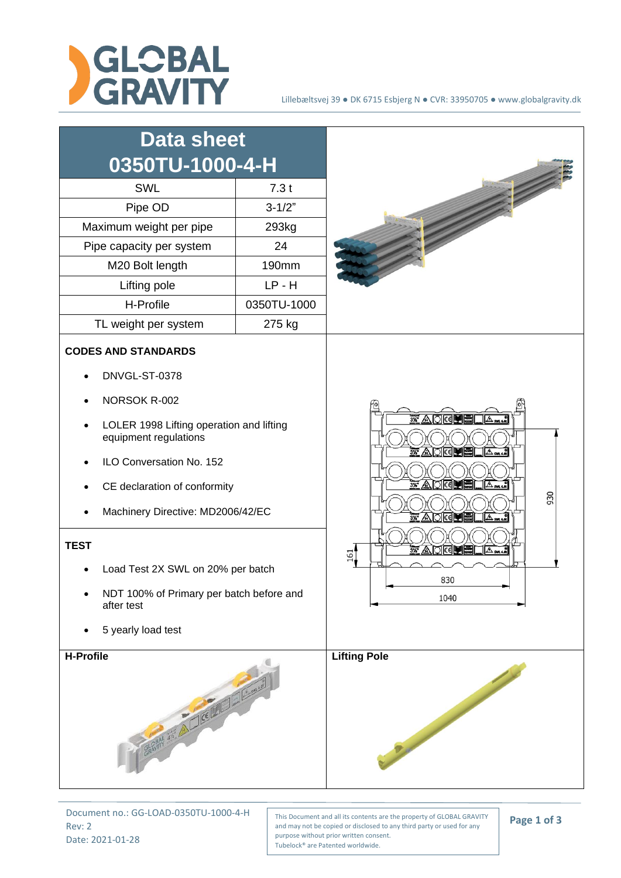



Document no.: GG-LOAD-0350TU-1000-4-H Rev: 2 Date: 2021-01-28

This Document and all its contents are the property of GLOBAL GRAVITY and may not be copied or disclosed to any third party or used for any purpose without prior written consent. Tubelock® are Patented worldwide.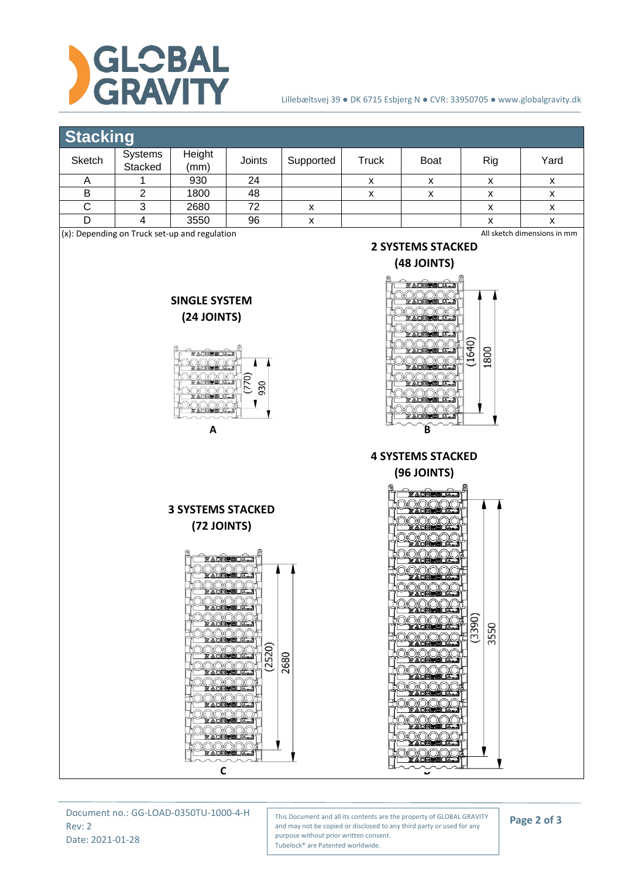

## Lillebæltsvej 39 ● DK 6715 Esbjerg N ● CVR: 33950705 ● www.globalgravity.dk

**2 SYSTEMS STACKED (48 JOINTS)**

**FADREDOL** 

1640 1800

## **Stacking**

|                                                       | . .                       |                |        |           |        |             |     |                   |
|-------------------------------------------------------|---------------------------|----------------|--------|-----------|--------|-------------|-----|-------------------|
| Sketch                                                | <b>Systems</b><br>Stacked | Height<br>(mm) | Joints | Supported | Truck  | <b>Boat</b> | Rig | Yard              |
|                                                       |                           | 930            | 24     |           | v<br>́ | v           |     | $\checkmark$<br>^ |
| B                                                     |                           | 1800           | 48     |           | х      |             | ́   | х                 |
|                                                       |                           | 2680           | 72     | v<br>́    |        |             | ́   | x                 |
|                                                       |                           | 3550           | 96     | v         |        |             |     | v<br>́            |
| $\cdot$ $\cdot$ $-$<br>$\cdots$<br>$\sim$ $\sim$<br>. |                           |                |        |           |        |             |     |                   |

(x): Depending on Truck set-up and regulation

All sketch dimensions in mm





**A B 4 SYSTEMS STACKED**



**(72 JOINTS)**

**3 SYSTEMS STACKED**



Document no.: GG-LOAD-0350TU-1000-4-H Rev: 2 Date: 2021-01-28

This Document and all its contents are the property of GLOBAL GRAVITY and may not be copied or disclosed to any third party or used for any purpose without prior written consent. Tubelock® are Patented worldwide.

## **Page 2 of 3**